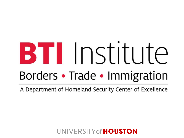# **BTI** Institute Borders • Trade • Immigration

A Department of Homeland Security Center of Excellence

**INIVERSITY of HOUSTON**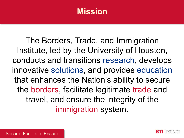#### **Mission**

The Borders, Trade, and Immigration Institute, led by the University of Houston, conducts and transitions research, develops innovative solutions, and provides education that enhances the Nation's ability to secure the borders, facilitate legitimate trade and travel, and ensure the integrity of the immigration system.

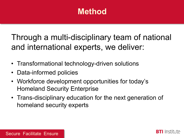## **Method**

Through a multi-disciplinary team of national and international experts, we deliver:

- Transformational technology-driven solutions
- Data-informed policies
- Workforce development opportunities for today's Homeland Security Enterprise
- Trans-disciplinary education for the next generation of homeland security experts



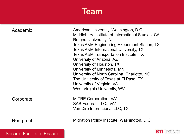## **Team**

| Academic  | American University, Washington, D.C.<br>Middlebury Institute of International Studies, CA<br><b>Rutgers University, NJ</b><br><b>Texas A&amp;M Engineering Experiment Station, TX</b><br>Texas A&M International University, TX<br>Texas A&M Transportation Institute, TX<br>University of Arizona, AZ<br>University of Houston, TX<br>University of Minnesota, MN<br>University of North Carolina, Charlotte, NC<br>The University of Texas at El Paso, TX<br>University of Virginia, VA<br>West Virginia University, WV |
|-----------|----------------------------------------------------------------------------------------------------------------------------------------------------------------------------------------------------------------------------------------------------------------------------------------------------------------------------------------------------------------------------------------------------------------------------------------------------------------------------------------------------------------------------|
| Corporate | MITRE Corporation, VA*<br>SAS Federal, LLC., VA*<br>Voir Dire International LLC, TX                                                                                                                                                                                                                                                                                                                                                                                                                                        |

Migration Policy Institute, Washington, D.C.

Secure Facilitate Ensure

Non-profit

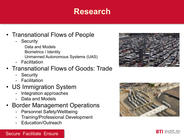### **Research**

- Transnational Flows of People
	- Security

Data and Models Biometrics / Identity Unmanned Autonomous Systems (UAS)

- Facilitation

#### • Transnational Flows of Goods: Trade

- **Security**
- Facilitation
- US Immigration System
	- Integration approaches
	- Data and Models
- Border Management Operations
	- Personnel Safety/Wellbeing
	- Training/Professional Development
	- Education/Outreach





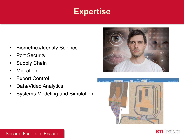## **Expertise**

- Biometrics/Identity Science
- **Port Security**
- **Supply Chain**
- **Migration**
- **Export Control**
- Data/Video Analytics
- Systems Modeling and Simulation





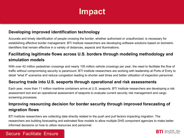## **Impact**

#### **Developing improved identification technology**

Accurate and timely identification of people crossing the border, whether authorized or unauthorized, is necessary for establishing effective border management. BTI Institute researchers are developing software solutions based on biometric identifiers that remain effective in a variety of distances, aspects and illuminations.

#### **Facilitating legitimate flows across U.S. borders through modeling methodology and simulation models**

With over 42 million pedestrian crossings and nearly 105 million vehicle crossings per year, the need to facilitate the flow of traffic without compromising security is paramount. BTI Institute researchers are working with leadership at Ports of Entry to detail "what if" scenarios and reduce congestion leading to shorter wait times and better utilization of inspection personnel.

#### **Securing trade into U.S. seaports through operational and risk assessments**

Each year, more than 11 million maritime containers arrive at U.S. seaports. BTI Institute researchers are developing a risk assessment tool and an operational assessment of seaports to evaluate current security risk management and cargo screening processes.

#### **Improving resourcing decision for border security through improved forecasting of migration flows**

BTI Institute researchers are collecting data directly related to the push and pull factors impacting migration. The researchers are building forecasting and estimated flow models to allow multiple DHS component agencies to make better informed decisions on how to utilize resources and personnel.